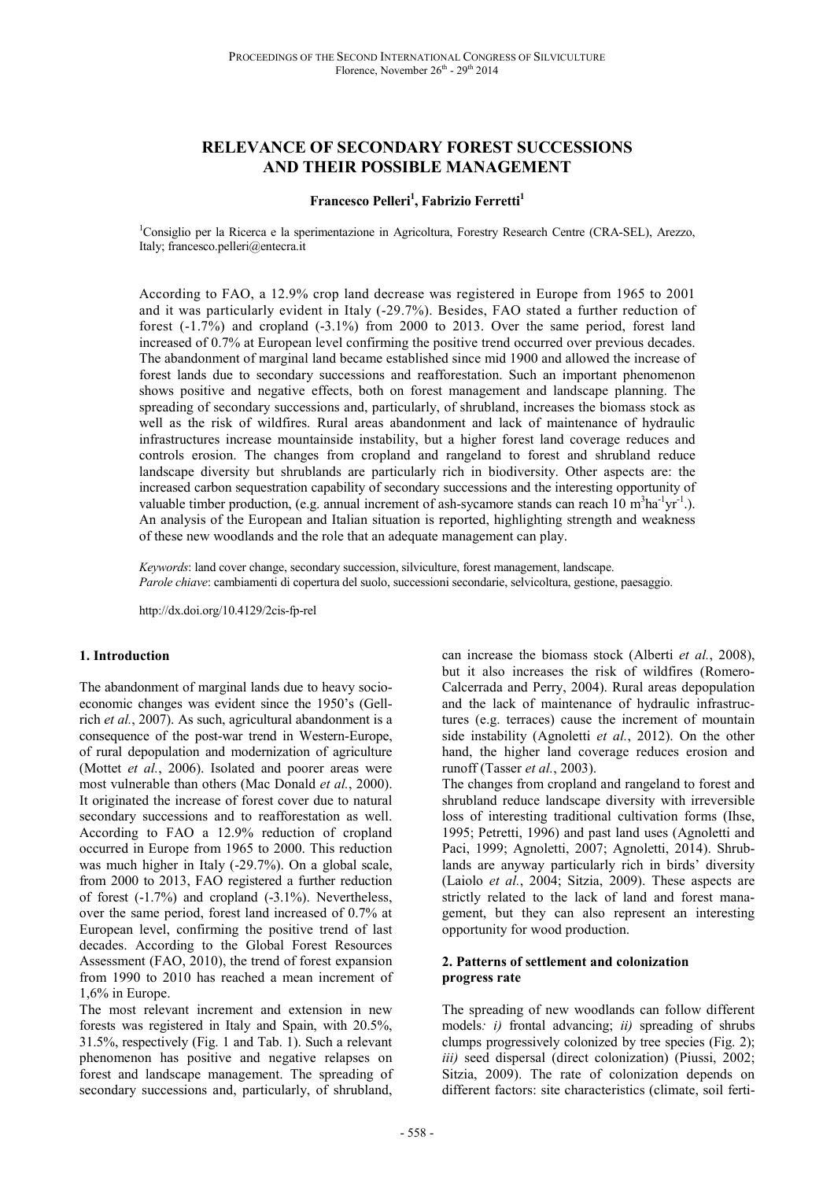# **RELEVANCE OF SECONDARY FOREST SUCCESSIONS AND THEIR POSSIBLE MANAGEMENT**

# **Francesco Pelleri<sup>1</sup> , Fabrizio Ferretti<sup>1</sup>**

<sup>1</sup>Consiglio per la Ricerca e la sperimentazione in Agricoltura, Forestry Research Centre (CRA-SEL), Arezzo, Italy; francesco.pelleri@entecra.it

According to FAO, a 12.9% crop land decrease was registered in Europe from 1965 to 2001 and it was particularly evident in Italy (-29.7%). Besides, FAO stated a further reduction of forest (-1.7%) and cropland (-3.1%) from 2000 to 2013. Over the same period, forest land increased of 0.7% at European level confirming the positive trend occurred over previous decades. The abandonment of marginal land became established since mid 1900 and allowed the increase of forest lands due to secondary successions and reafforestation. Such an important phenomenon shows positive and negative effects, both on forest management and landscape planning. The spreading of secondary successions and, particularly, of shrubland, increases the biomass stock as well as the risk of wildfires. Rural areas abandonment and lack of maintenance of hydraulic infrastructures increase mountainside instability, but a higher forest land coverage reduces and controls erosion. The changes from cropland and rangeland to forest and shrubland reduce landscape diversity but shrublands are particularly rich in biodiversity. Other aspects are: the increased carbon sequestration capability of secondary successions and the interesting opportunity of valuable timber production, (e.g. annual increment of ash-sycamore stands can reach  $10 \text{ m}^3\text{ha}^1\text{yr}^1$ .). An analysis of the European and Italian situation is reported, highlighting strength and weakness of these new woodlands and the role that an adequate management can play.

*Keywords*: land cover change, secondary succession, silviculture, forest management, landscape. *Parole chiave*: cambiamenti di copertura del suolo, successioni secondarie, selvicoltura, gestione, paesaggio.

http://dx.doi.org/10.4129/2cis-fp-rel

## **1. Introduction**

The abandonment of marginal lands due to heavy socioeconomic changes was evident since the 1950's (Gellrich *et al.*, 2007). As such, agricultural abandonment is a consequence of the post-war trend in Western-Europe, of rural depopulation and modernization of agriculture (Mottet *et al.*, 2006). Isolated and poorer areas were most vulnerable than others (Mac Donald *et al.*, 2000). It originated the increase of forest cover due to natural secondary successions and to reafforestation as well. According to FAO a 12.9% reduction of cropland occurred in Europe from 1965 to 2000. This reduction was much higher in Italy (-29.7%). On a global scale, from 2000 to 2013, FAO registered a further reduction of forest (-1.7%) and cropland (-3.1%). Nevertheless, over the same period, forest land increased of 0.7% at European level, confirming the positive trend of last decades. According to the Global Forest Resources Assessment (FAO, 2010), the trend of forest expansion from 1990 to 2010 has reached a mean increment of 1,6% in Europe.

The most relevant increment and extension in new forests was registered in Italy and Spain, with 20.5%, 31.5%, respectively (Fig. 1 and Tab. 1). Such a relevant phenomenon has positive and negative relapses on forest and landscape management. The spreading of secondary successions and, particularly, of shrubland,

can increase the biomass stock (Alberti *et al.*, 2008), but it also increases the risk of wildfires (Romero-Calcerrada and Perry, 2004). Rural areas depopulation and the lack of maintenance of hydraulic infrastructures (e.g. terraces) cause the increment of mountain side instability (Agnoletti *et al.*, 2012). On the other hand, the higher land coverage reduces erosion and runoff (Tasser *et al.*, 2003).

The changes from cropland and rangeland to forest and shrubland reduce landscape diversity with irreversible loss of interesting traditional cultivation forms (Ihse, 1995; Petretti, 1996) and past land uses (Agnoletti and Paci, 1999; Agnoletti, 2007; Agnoletti, 2014). Shrublands are anyway particularly rich in birds' diversity (Laiolo *et al.*, 2004; Sitzia, 2009). These aspects are strictly related to the lack of land and forest management, but they can also represent an interesting opportunity for wood production.

#### **2. Patterns of settlement and colonization progress rate**

The spreading of new woodlands can follow different models*: i)* frontal advancing; *ii)* spreading of shrubs clumps progressively colonized by tree species (Fig. 2); *iii)* seed dispersal (direct colonization) (Piussi, 2002; Sitzia, 2009). The rate of colonization depends on different factors: site characteristics (climate, soil ferti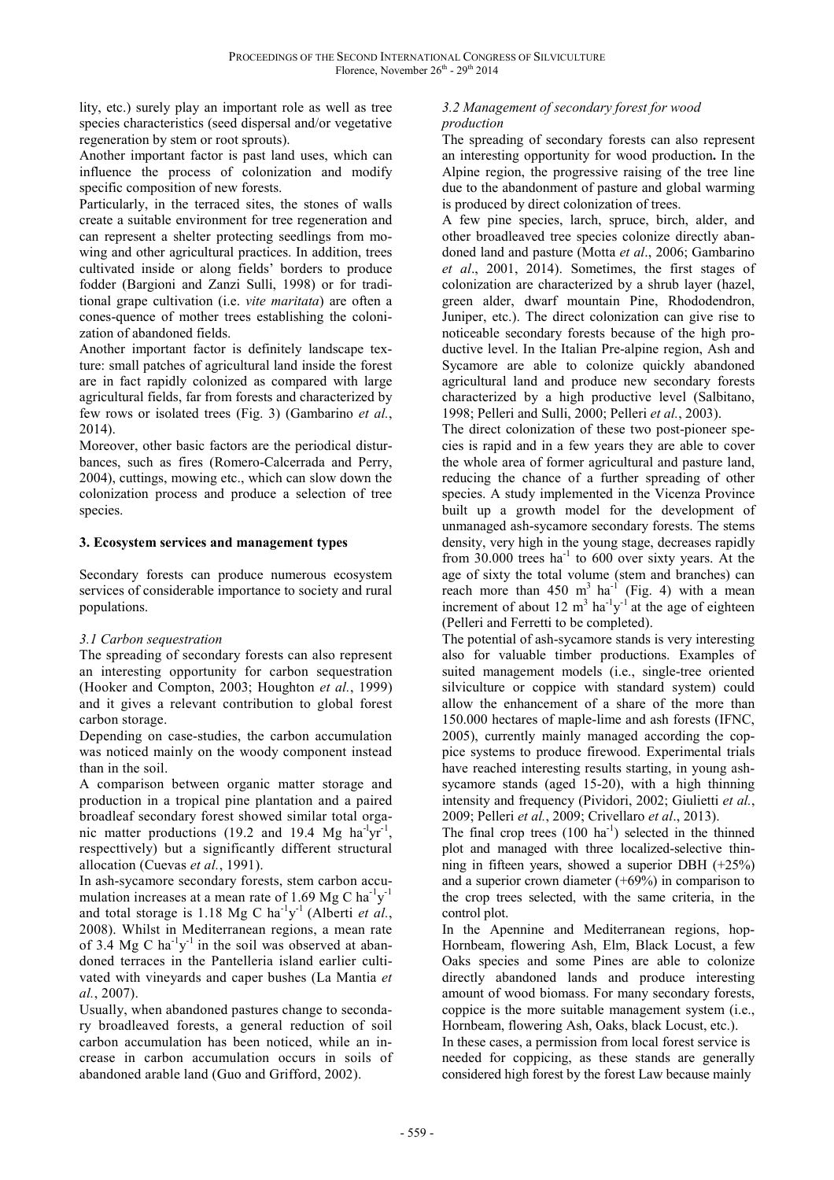lity, etc.) surely play an important role as well as tree species characteristics (seed dispersal and/or vegetative regeneration by stem or root sprouts).

Another important factor is past land uses, which can influence the process of colonization and modify specific composition of new forests.

Particularly, in the terraced sites, the stones of walls create a suitable environment for tree regeneration and can represent a shelter protecting seedlings from mowing and other agricultural practices. In addition, trees cultivated inside or along fields' borders to produce fodder (Bargioni and Zanzi Sulli, 1998) or for traditional grape cultivation (i.e. *vite maritata*) are often a cones-quence of mother trees establishing the colonization of abandoned fields.

Another important factor is definitely landscape texture: small patches of agricultural land inside the forest are in fact rapidly colonized as compared with large agricultural fields, far from forests and characterized by few rows or isolated trees (Fig. 3) (Gambarino *et al.*, 2014).

Moreover, other basic factors are the periodical disturbances, such as fires (Romero-Calcerrada and Perry, 2004), cuttings, mowing etc., which can slow down the colonization process and produce a selection of tree species.

## **3. Ecosystem services and management types**

Secondary forests can produce numerous ecosystem services of considerable importance to society and rural populations.

# *3.1 Carbon sequestration*

The spreading of secondary forests can also represent an interesting opportunity for carbon sequestration (Hooker and Compton, 2003; Houghton *et al.*, 1999) and it gives a relevant contribution to global forest carbon storage.

Depending on case-studies, the carbon accumulation was noticed mainly on the woody component instead than in the soil.

A comparison between organic matter storage and production in a tropical pine plantation and a paired broadleaf secondary forest showed similar total organic matter productions (19.2 and 19.4 Mg ha<sup>-l</sup>yr<sup>-1</sup>, respecttively) but a significantly different structural allocation (Cuevas *et al.*, 1991).

In ash-sycamore secondary forests, stem carbon accumulation increases at a mean rate of 1.69 Mg C ha $\mathrm{^{1}y^{1}}$ and total storage is 1.18 Mg C ha<sup>-1</sup>y<sup>-1</sup> (Alberti *et al.*, 2008). Whilst in Mediterranean regions, a mean rate of 3.4 Mg C  $ha^{-1}y^{-1}$  in the soil was observed at abandoned terraces in the Pantelleria island earlier cultivated with vineyards and caper bushes (La Mantia *et al.*, 2007).

Usually, when abandoned pastures change to secondary broadleaved forests, a general reduction of soil carbon accumulation has been noticed, while an increase in carbon accumulation occurs in soils of abandoned arable land (Guo and Grifford, 2002).

# *3.2 Management of secondary forest for wood production*

The spreading of secondary forests can also represent an interesting opportunity for wood production**.** In the Alpine region, the progressive raising of the tree line due to the abandonment of pasture and global warming is produced by direct colonization of trees.

A few pine species, larch, spruce, birch, alder, and other broadleaved tree species colonize directly abandoned land and pasture (Motta *et al*., 2006; Gambarino *et al*., 2001, 2014). Sometimes, the first stages of colonization are characterized by a shrub layer (hazel, green alder, dwarf mountain Pine, Rhododendron, Juniper, etc.). The direct colonization can give rise to noticeable secondary forests because of the high productive level. In the Italian Pre-alpine region, Ash and Sycamore are able to colonize quickly abandoned agricultural land and produce new secondary forests characterized by a high productive level (Salbitano, 1998; Pelleri and Sulli, 2000; Pelleri *et al.*, 2003).

The direct colonization of these two post-pioneer species is rapid and in a few years they are able to cover the whole area of former agricultural and pasture land, reducing the chance of a further spreading of other species. A study implemented in the Vicenza Province built up a growth model for the development of unmanaged ash-sycamore secondary forests. The stems density, very high in the young stage, decreases rapidly from 30.000 trees  $ha^{-1}$  to 600 over sixty years. At the age of sixty the total volume (stem and branches) can reach more than 450 m<sup>3</sup> ha<sup>-1</sup> (Fig. 4) with a mean increment of about 12  $m^3$  ha<sup>-1</sup>y<sup>-1</sup> at the age of eighteen (Pelleri and Ferretti to be completed).

The potential of ash-sycamore stands is very interesting also for valuable timber productions. Examples of suited management models (i.e., single-tree oriented silviculture or coppice with standard system) could allow the enhancement of a share of the more than 150.000 hectares of maple-lime and ash forests (IFNC, 2005), currently mainly managed according the coppice systems to produce firewood. Experimental trials have reached interesting results starting, in young ashsycamore stands (aged 15-20), with a high thinning intensity and frequency (Pividori, 2002; Giulietti *et al.*, 2009; Pelleri *et al.*, 2009; Crivellaro *et al*., 2013).

The final crop trees  $(100 \text{ ha}^{-1})$  selected in the thinned plot and managed with three localized-selective thinning in fifteen years, showed a superior DBH (+25%) and a superior crown diameter  $(+69%)$  in comparison to the crop trees selected, with the same criteria, in the control plot.

In the Apennine and Mediterranean regions, hop-Hornbeam, flowering Ash, Elm, Black Locust, a few Oaks species and some Pines are able to colonize directly abandoned lands and produce interesting amount of wood biomass. For many secondary forests, coppice is the more suitable management system (i.e., Hornbeam, flowering Ash, Oaks, black Locust, etc.).

In these cases, a permission from local forest service is needed for coppicing, as these stands are generally considered high forest by the forest Law because mainly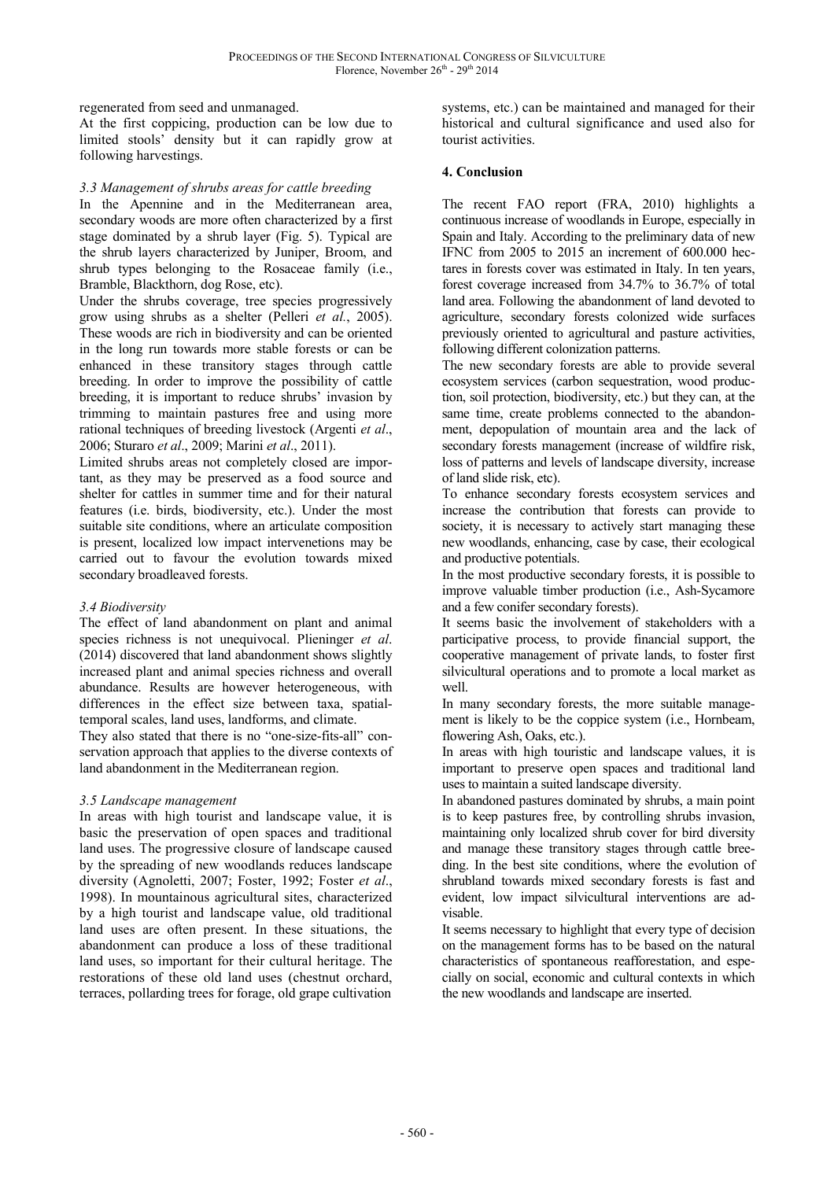regenerated from seed and unmanaged.

At the first coppicing, production can be low due to limited stools' density but it can rapidly grow at following harvestings.

# *3.3 Management of shrubs areas for cattle breeding*

In the Apennine and in the Mediterranean area, secondary woods are more often characterized by a first stage dominated by a shrub layer (Fig. 5). Typical are the shrub layers characterized by Juniper, Broom, and shrub types belonging to the Rosaceae family (i.e., Bramble, Blackthorn, dog Rose, etc).

Under the shrubs coverage, tree species progressively grow using shrubs as a shelter (Pelleri *et al.*, 2005). These woods are rich in biodiversity and can be oriented in the long run towards more stable forests or can be enhanced in these transitory stages through cattle breeding. In order to improve the possibility of cattle breeding, it is important to reduce shrubs' invasion by trimming to maintain pastures free and using more rational techniques of breeding livestock (Argenti *et al*., 2006; Sturaro *et al*., 2009; Marini *et al*., 2011).

Limited shrubs areas not completely closed are important, as they may be preserved as a food source and shelter for cattles in summer time and for their natural features (i.e. birds, biodiversity, etc.). Under the most suitable site conditions, where an articulate composition is present, localized low impact intervenetions may be carried out to favour the evolution towards mixed secondary broadleaved forests.

## *3.4 Biodiversity*

The effect of land abandonment on plant and animal species richness is not unequivocal. Plieninger *et al*. (2014) discovered that land abandonment shows slightly increased plant and animal species richness and overall abundance. Results are however heterogeneous, with differences in the effect size between taxa, spatialtemporal scales, land uses, landforms, and climate.

They also stated that there is no "one-size-fits-all" conservation approach that applies to the diverse contexts of land abandonment in the Mediterranean region.

## *3.5 Landscape management*

In areas with high tourist and landscape value, it is basic the preservation of open spaces and traditional land uses. The progressive closure of landscape caused by the spreading of new woodlands reduces landscape diversity (Agnoletti, 2007; Foster, 1992; Foster *et al*., 1998). In mountainous agricultural sites, characterized by a high tourist and landscape value, old traditional land uses are often present. In these situations, the abandonment can produce a loss of these traditional land uses, so important for their cultural heritage. The restorations of these old land uses (chestnut orchard, terraces, pollarding trees for forage, old grape cultivation systems, etc.) can be maintained and managed for their historical and cultural significance and used also for tourist activities.

# **4. Conclusion**

The recent FAO report (FRA, 2010) highlights a continuous increase of woodlands in Europe, especially in Spain and Italy. According to the preliminary data of new IFNC from 2005 to 2015 an increment of 600.000 hectares in forests cover was estimated in Italy. In ten years, forest coverage increased from 34.7% to 36.7% of total land area. Following the abandonment of land devoted to agriculture, secondary forests colonized wide surfaces previously oriented to agricultural and pasture activities, following different colonization patterns.

The new secondary forests are able to provide several ecosystem services (carbon sequestration, wood production, soil protection, biodiversity, etc.) but they can, at the same time, create problems connected to the abandonment, depopulation of mountain area and the lack of secondary forests management (increase of wildfire risk, loss of patterns and levels of landscape diversity, increase of land slide risk, etc).

To enhance secondary forests ecosystem services and increase the contribution that forests can provide to society, it is necessary to actively start managing these new woodlands, enhancing, case by case, their ecological and productive potentials.

In the most productive secondary forests, it is possible to improve valuable timber production (i.e., Ash-Sycamore and a few conifer secondary forests).

It seems basic the involvement of stakeholders with a participative process, to provide financial support, the cooperative management of private lands, to foster first silvicultural operations and to promote a local market as well.

In many secondary forests, the more suitable management is likely to be the coppice system (i.e., Hornbeam, flowering Ash, Oaks, etc.).

In areas with high touristic and landscape values, it is important to preserve open spaces and traditional land uses to maintain a suited landscape diversity.

In abandoned pastures dominated by shrubs, a main point is to keep pastures free, by controlling shrubs invasion, maintaining only localized shrub cover for bird diversity and manage these transitory stages through cattle breeding. In the best site conditions, where the evolution of shrubland towards mixed secondary forests is fast and evident, low impact silvicultural interventions are advisable.

It seems necessary to highlight that every type of decision on the management forms has to be based on the natural characteristics of spontaneous reafforestation, and especially on social, economic and cultural contexts in which the new woodlands and landscape are inserted.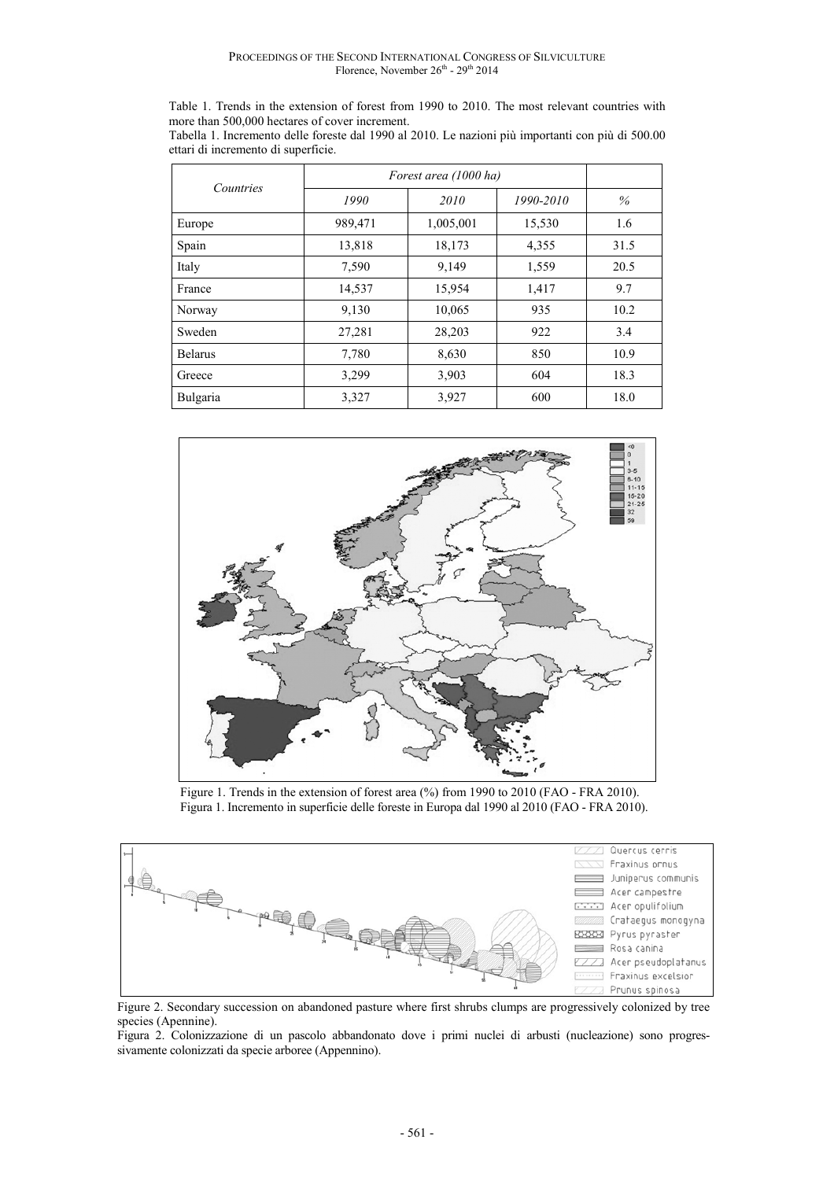Table 1. Trends in the extension of forest from 1990 to 2010. The most relevant countries with more than 500,000 hectares of cover increment.

| Tabella 1. Incremento delle foreste dal 1990 al 2010. Le nazioni più importanti con più di 500.00 |  |  |  |
|---------------------------------------------------------------------------------------------------|--|--|--|
| ettari di incremento di superficie.                                                               |  |  |  |

| Countries      | Forest area (1000 ha) |           |           |      |
|----------------|-----------------------|-----------|-----------|------|
|                | 1990                  | 2010      | 1990-2010 | $\%$ |
| Europe         | 989,471               | 1,005,001 | 15,530    | 1.6  |
| Spain          | 13,818                | 18,173    | 4,355     | 31.5 |
| Italy          | 7,590                 | 9,149     | 1,559     | 20.5 |
| France         | 14,537                | 15,954    | 1,417     | 9.7  |
| Norway         | 9,130                 | 10,065    | 935       | 10.2 |
| Sweden         | 27,281                | 28,203    | 922       | 3.4  |
| <b>Belarus</b> | 7,780                 | 8,630     | 850       | 10.9 |
| Greece         | 3,299                 | 3,903     | 604       | 18.3 |
| Bulgaria       | 3,327                 | 3,927     | 600       | 18.0 |



Figure 1. Trends in the extension of forest area (%) from 1990 to 2010 (FAO - FRA 2010). Figura 1. Incremento in superficie delle foreste in Europa dal 1990 al 2010 (FAO - FRA 2010).



Figure 2. Secondary succession on abandoned pasture where first shrubs clumps are progressively colonized by tree species (Apennine).

Figura 2. Colonizzazione di un pascolo abbandonato dove i primi nuclei di arbusti (nucleazione) sono progressivamente colonizzati da specie arboree (Appennino).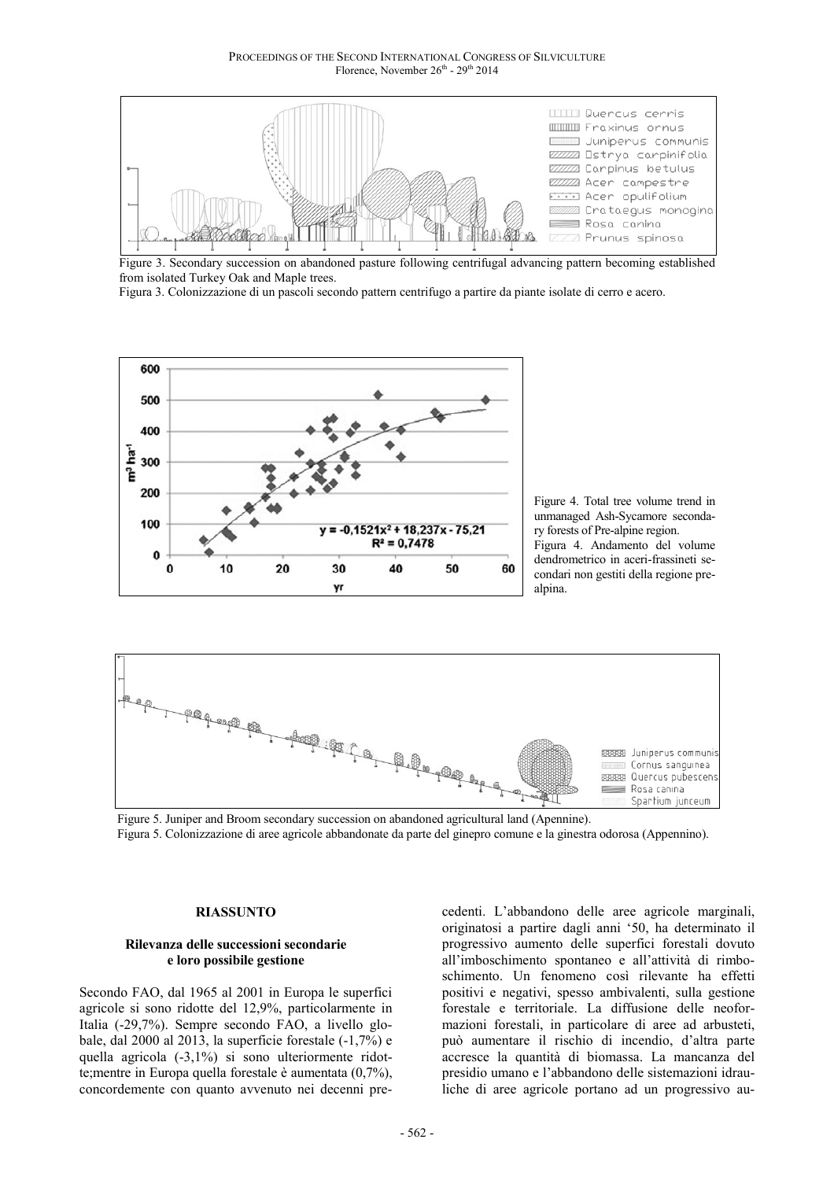PROCEEDINGS OF THE SECOND INTERNATIONAL CONGRESS OF SILVICULTURE Florence, November 26<sup>th</sup> - 29<sup>th</sup> 2014



Figure 3. Secondary succession on abandoned pasture following centrifugal advancing pattern becoming established from isolated Turkey Oak and Maple trees.

Figura 3. Colonizzazione di un pascoli secondo pattern centrifugo a partire da piante isolate di cerro e acero.



Figure 4. Total tree volume trend in unmanaged Ash-Sycamore secondary forests of Pre-alpine region. Figura 4. Andamento del volume dendrometrico in aceri-frassineti secondari non gestiti della regione prealpina.



Figure 5. Juniper and Broom secondary succession on abandoned agricultural land (Apennine). Figura 5. Colonizzazione di aree agricole abbandonate da parte del ginepro comune e la ginestra odorosa (Appennino).

#### **RIASSUNTO**

#### **Rilevanza delle successioni secondarie e loro possibile gestione**

Secondo FAO, dal 1965 al 2001 in Europa le superfici agricole si sono ridotte del 12,9%, particolarmente in Italia (-29,7%). Sempre secondo FAO, a livello globale, dal 2000 al 2013, la superficie forestale (-1,7%) e quella agricola (-3,1%) si sono ulteriormente ridotte;mentre in Europa quella forestale è aumentata (0,7%), concordemente con quanto avvenuto nei decenni pre-

cedenti. L'abbandono delle aree agricole marginali, originatosi a partire dagli anni '50, ha determinato il progressivo aumento delle superfici forestali dovuto all'imboschimento spontaneo e all'attività di rimboschimento. Un fenomeno così rilevante ha effetti positivi e negativi, spesso ambivalenti, sulla gestione forestale e territoriale. La diffusione delle neoformazioni forestali, in particolare di aree ad arbusteti, può aumentare il rischio di incendio, d'altra parte accresce la quantità di biomassa. La mancanza del presidio umano e l'abbandono delle sistemazioni idrauliche di aree agricole portano ad un progressivo au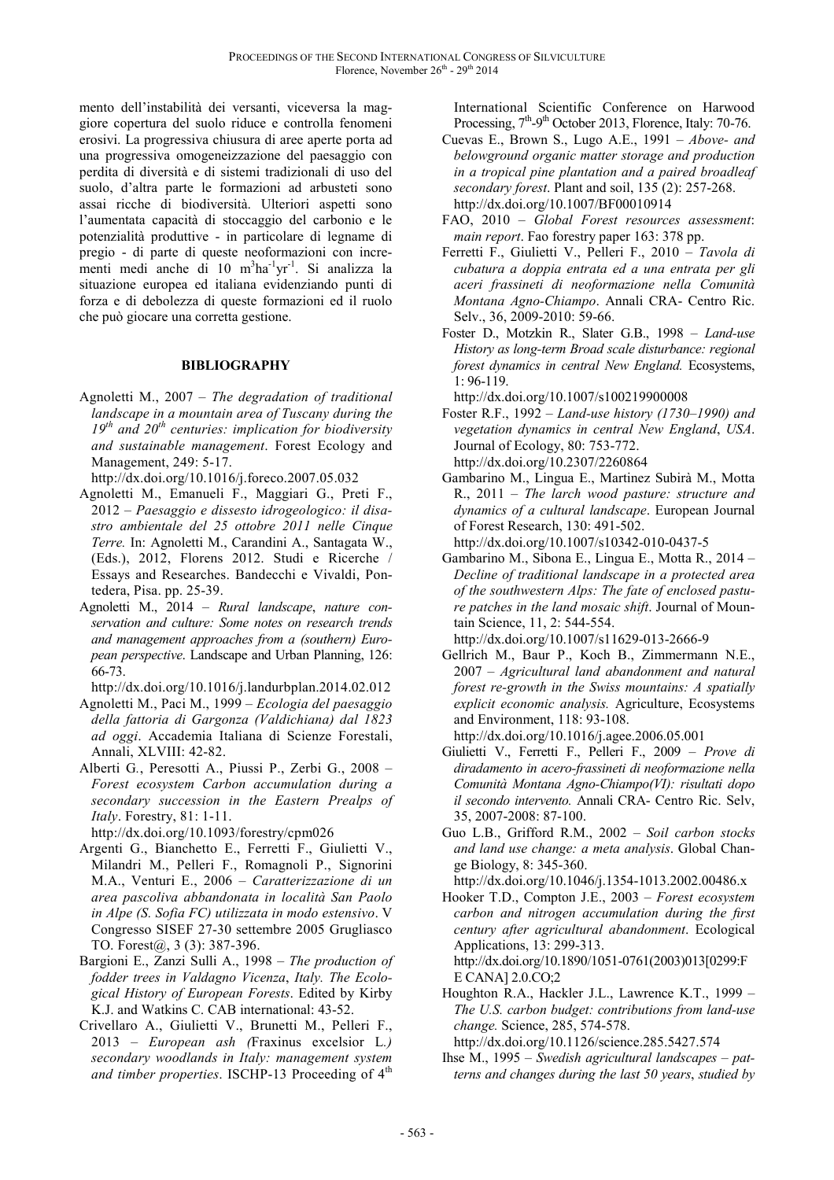mento dell'instabilità dei versanti, viceversa la maggiore copertura del suolo riduce e controlla fenomeni erosivi. La progressiva chiusura di aree aperte porta ad una progressiva omogeneizzazione del paesaggio con perdita di diversità e di sistemi tradizionali di uso del suolo, d'altra parte le formazioni ad arbusteti sono assai ricche di biodiversità. Ulteriori aspetti sono l'aumentata capacità di stoccaggio del carbonio e le potenzialità produttive - in particolare di legname di pregio - di parte di queste neoformazioni con incrementi medi anche di 10 m<sup>3</sup>ha<sup>-1</sup>yr<sup>-1</sup>. Si analizza la situazione europea ed italiana evidenziando punti di forza e di debolezza di queste formazioni ed il ruolo che può giocare una corretta gestione.

## **BIBLIOGRAPHY**

Agnoletti M., 2007 – *The degradation of traditional landscape in a mountain area of Tuscany during the 19th and 20th centuries: implication for biodiversity and sustainable management*. Forest Ecology and Management, 249: 5-17.

http://dx.doi.org/10.1016/j.foreco.2007.05.032

- Agnoletti M., Emanueli F., Maggiari G., Preti F., 2012 – *Paesaggio e dissesto idrogeologico: il disastro ambientale del 25 ottobre 2011 nelle Cinque Terre.* In: Agnoletti M., Carandini A., Santagata W., (Eds.), 2012, Florens 2012. Studi e Ricerche / Essays and Researches. Bandecchi e Vivaldi, Pontedera, Pisa. pp. 25-39.
- Agnoletti M., 2014 *Rural landscape*, *nature conservation and culture: Some notes on research trends and management approaches from a (southern) European perspective*. Landscape and Urban Planning, 126: 66-73.
- http://dx.doi.org/10.1016/j.landurbplan.2014.02.012
- Agnoletti M., Paci M., 1999 *Ecologia del paesaggio della fattoria di Gargonza (Valdichiana) dal 1823 ad oggi*. Accademia Italiana di Scienze Forestali, Annali, XLVIII: 42-82.
- Alberti G*.*, Peresotti A., Piussi P., Zerbi G., 2008 *Forest ecosystem Carbon accumulation during a secondary succession in the Eastern Prealps of Italy*. Forestry, 81: 1-11.

http://dx.doi.org/10.1093/forestry/cpm026

- Argenti G., Bianchetto E., Ferretti F., Giulietti V., Milandri M., Pelleri F., Romagnoli P., Signorini M.A., Venturi E., 2006 – *Caratterizzazione di un area pascoliva abbandonata in località San Paolo in Alpe (S. Sofia FC) utilizzata in modo estensivo*. V Congresso SISEF 27-30 settembre 2005 Grugliasco TO. Forest@, 3 (3): 387-396.
- Bargioni E., Zanzi Sulli A., 1998 *The production of fodder trees in Valdagno Vicenza*, *Italy. The Ecological History of European Forests*. Edited by Kirby K.J. and Watkins C. CAB international: 43-52.
- Crivellaro A., Giulietti V., Brunetti M., Pelleri F., 2013 – *European ash (*Fraxinus excelsior L*.) secondary woodlands in Italy: management system and timber properties*. ISCHP-13 Proceeding of 4<sup>th</sup>

International Scientific Conference on Harwood Processing,  $7<sup>th</sup>$ -9<sup>th</sup> October 2013, Florence, Italy: 70-76.

- Cuevas E., Brown S., Lugo A.E., 1991 *Above- and belowground organic matter storage and production in a tropical pine plantation and a paired broadleaf secondary forest*. Plant and soil, 135 (2): 257-268. http://dx.doi.org/10.1007/BF00010914
- FAO, 2010 *Global Forest resources assessment*: *main report*. Fao forestry paper 163: 378 pp.
- Ferretti F., Giulietti V., Pelleri F., 2010 *Tavola di cubatura a doppia entrata ed a una entrata per gli aceri frassineti di neoformazione nella Comunità Montana Agno-Chiampo*. Annali CRA- Centro Ric. Selv., 36, 2009-2010: 59-66.
- Foster D., Motzkin R., Slater G.B., 1998 *Land-use History as long-term Broad scale disturbance: regional forest dynamics in central New England.* Ecosystems, 1: 96-119.

http://dx.doi.org/10.1007/s100219900008

- Foster R.F., 1992 *Land-use history (1730–1990) and vegetation dynamics in central New England*, *USA*. Journal of Ecology, 80: 753-772. http://dx.doi.org/10.2307/2260864
- Gambarino M., Lingua E., Martinez Subirà M., Motta R., 2011 – *The larch wood pasture: structure and dynamics of a cultural landscape*. European Journal of Forest Research, 130: 491-502.

http://dx.doi.org/10.1007/s10342-010-0437-5

Gambarino M., Sibona E., Lingua E., Motta R., 2014 – *Decline of traditional landscape in a protected area of the southwestern Alps: The fate of enclosed pasture patches in the land mosaic shift*. Journal of Mountain Science, 11, 2: 544-554.

http://dx.doi.org/10.1007/s11629-013-2666-9

Gellrich M., Baur P., Koch B., Zimmermann N.E., 2007 – *Agricultural land abandonment and natural forest re-growth in the Swiss mountains: A spatially explicit economic analysis.* Agriculture, Ecosystems and Environment, 118: 93-108.

http://dx.doi.org/10.1016/j.agee.2006.05.001

- Giulietti V., Ferretti F., Pelleri F., 2009 – *Prove di diradamento in acero-frassineti di neoformazione nella Comunità Montana Agno-Chiampo(VI): risultati dopo il secondo intervento.* Annali CRA- Centro Ric. Selv, 35, 2007-2008: 87-100.
- Guo L.B., Grifford R.M., 2002 *Soil carbon stocks and land use change: a meta analysis*. Global Change Biology, 8: 345-360.

http://dx.doi.org/10.1046/j.1354-1013.2002.00486.x

Hooker T.D., Compton J.E., 2003 – *Forest ecosystem carbon and nitrogen accumulation during the first century after agricultural abandonment*. Ecological Applications, 13: 299-313.

http://dx.doi.org/10.1890/1051-0761(2003)013[0299:F E CANA] 2.0.CO;2

Houghton R.A., Hackler J.L., Lawrence K.T., 1999 – *The U.S. carbon budget: contributions from land-use change.* Science, 285, 574-578.

http://dx.doi.org/10.1126/science.285.5427.574

Ihse M., 1995 – *Swedish agricultural landscapes* – *patterns and changes during the last 50 years*, *studied by*